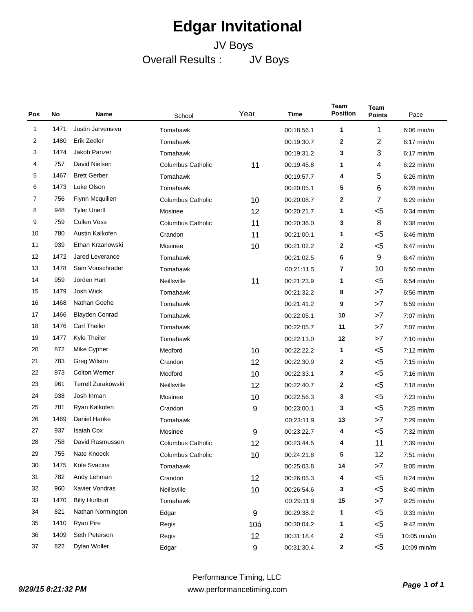## **Edgar Invitational**

## JV Boys Overall Results : JV Boys

| Pos | No   | Name                      | School                   | Year             | Time       | Team<br><b>Position</b> | Team<br><b>Points</b> | Pace         |
|-----|------|---------------------------|--------------------------|------------------|------------|-------------------------|-----------------------|--------------|
| 1   | 1471 | Justin Jarvensivu         | Tomahawk                 |                  | 00:18:56.1 | 1                       | 1                     | $6:06$ min/m |
| 2   | 1480 | Erik Zedler               | Tomahawk                 |                  | 00:19:30.7 | 2                       | 2                     | $6:17$ min/m |
| 3   | 1474 | Jakob Panzer              | Tomahawk                 |                  | 00:19:31.2 | 3                       | 3                     | $6:17$ min/m |
| 4   | 757  | David Nielsen             | <b>Columbus Catholic</b> | 11               | 00:19:45.8 | 1                       | 4                     | $6:22$ min/m |
| 5   | 1467 | <b>Brett Gerber</b>       | Tomahawk                 |                  | 00:19:57.7 | 4                       | 5                     | $6:26$ min/m |
| 6   | 1473 | Luke Olson                | Tomahawk                 |                  | 00:20:05.1 | 5                       | 6                     | $6:28$ min/m |
| 7   | 756  | Flynn Mcquillen           | <b>Columbus Catholic</b> | 10               | 00:20:08.7 | 2                       | 7                     | $6:29$ min/m |
| 8   | 948  | <b>Tyler Unertl</b>       | Mosinee                  | 12               | 00:20:21.7 | 1                       | $5$                   | $6:34$ min/m |
| 9   | 759  | <b>Cullen Voss</b>        | <b>Columbus Catholic</b> | 11               | 00:20:36.0 | 3                       | 8                     | $6:38$ min/m |
| 10  | 780  | Austin Kalkofen           | Crandon                  | 11               | 00:21:00.1 | 1                       | $5$                   | $6:46$ min/m |
| 11  | 939  | Ethan Krzanowski          | Mosinee                  | 10               | 00:21:02.2 | 2                       | $5$                   | $6:47$ min/m |
| 12  | 1472 | Jared Leverance           | Tomahawk                 |                  | 00:21:02.5 | 6                       | 9                     | $6:47$ min/m |
| 13  | 1478 | Sam Vonschrader           | Tomahawk                 |                  | 00:21:11.5 | 7                       | 10                    | $6:50$ min/m |
| 14  | 959  | Jorden Hart               | Neillsville              | 11               | 00:21:23.9 | 1                       | $5$                   | $6:54$ min/m |
| 15  | 1479 | Josh Wick                 | Tomahawk                 |                  | 00:21:32.2 | 8                       | >7                    | $6:56$ min/m |
| 16  | 1468 | Nathan Goehe              | Tomahawk                 |                  | 00:21:41.2 | 9                       | >7                    | $6:59$ min/m |
| 17  | 1466 | <b>Blayden Conrad</b>     | Tomahawk                 |                  | 00:22:05.1 | 10                      | >7                    | $7:07$ min/m |
| 18  | 1476 | <b>Carl Theiler</b>       | Tomahawk                 |                  | 00:22:05.7 | 11                      | >7                    | 7:07 min/m   |
| 19  | 1477 | Kyle Theiler              | Tomahawk                 |                  | 00:22:13.0 | 12                      | >7                    | $7:10$ min/m |
| 20  | 872  | Mike Cypher               | Medford                  | 10               | 00:22:22.2 | 1                       | $5$                   | $7:12$ min/m |
| 21  | 783  | Greg Wilson               | Crandon                  | 12               | 00:22:30.9 | 2                       | $5$                   | $7:15$ min/m |
| 22  | 873  | <b>Colton Werner</b>      | Medford                  | 10               | 00:22:33.1 | 2                       | $5$                   | $7:16$ min/m |
| 23  | 961  | <b>Terrell Zurakowski</b> | Neillsville              | 12               | 00:22:40.7 | 2                       | $5$                   | $7:18$ min/m |
| 24  | 938  | Josh Inman                | Mosinee                  | 10               | 00:22:56.3 | 3                       | $5$                   | $7:23$ min/m |
| 25  | 781  | Ryan Kalkofen             | Crandon                  | 9                | 00:23:00.1 | 3                       | $5$                   | $7:25$ min/m |
| 26  | 1469 | Daniel Hanke              | Tomahawk                 |                  | 00:23:11.9 | 13                      | >7                    | $7:29$ min/m |
| 27  | 937  | <b>Isaiah Cox</b>         | Mosinee                  | 9                | 00:23:22.7 | 4                       | $5$                   | $7:32$ min/m |
| 28  | 758  | David Rasmussen           | <b>Columbus Catholic</b> | 12               | 00:23:44.5 | 4                       | 11                    | $7:39$ min/m |
| 29  | 755  | Nate Knoeck               | <b>Columbus Catholic</b> | 10               | 00:24:21.8 | 5                       | 12                    | $7:51$ min/m |
| 30  | 1475 | Kole Svacina              | Tomahawk                 |                  | 00:25:03.8 | 14                      | >7                    | 8:05 min/m   |
| 31  | 782  | Andy Lehman               | Crandon                  | 12               | 00:26:05.3 | 4                       | $5$                   | 8:24 min/m   |
| 32  | 960  | Xavier Vondras            | Neillsville              | 10               | 00:26:54.6 | 3                       | $5$                   | 8:40 min/m   |
| 33  | 1470 | <b>Billy Hurlburt</b>     | Tomahawk                 |                  | 00:29:11.9 | 15                      | >7                    | $9:25$ min/m |
| 34  | 821  | Nathan Normington         | Edgar                    | 9                | 00:29:38.2 | 1                       | $<$ 5                 | $9:33$ min/m |
| 35  | 1410 | Ryan Pire                 | Regis                    | 10a              | 00:30:04.2 | 1                       | $<$ 5                 | $9:42$ min/m |
| 36  | 1409 | Seth Peterson             | Regis                    | 12               | 00:31:18.4 | 2                       | $<$ 5                 | 10:05 min/m  |
| 37  | 822  | Dylan Woller              | Edgar                    | $\boldsymbol{9}$ | 00:31:30.4 | 2                       | $5$                   | 10:09 min/m  |